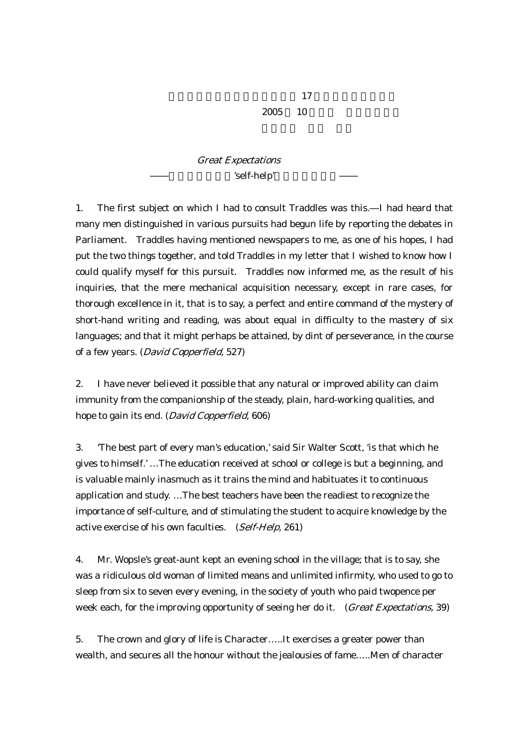$2005$  10

## Great Expectations 'self-help'

1. The first subject on which I had to consult Traddles was this. I had heard that many men distinguished in various pursuits had begun life by reporting the debates in Parliament. Traddles having mentioned newspapers to me, as one of his hopes, I had put the two things together, and told Traddles in my letter that I wished to know how I could qualify myself for this pursuit. Traddles now informed me, as the result of his inquiries, that the mere mechanical acquisition necessary, except in rare cases, for thorough excellence in it, that is to say, a perfect and entire command of the mystery of short-hand writing and reading, was about equal in difficulty to the mastery of six languages; and that it might perhaps be attained, by dint of perseverance, in the course of a few years. (David Copperfield, 527)

2. I have never believed it possible that any natural or improved ability can claim immunity from the companionship of the steady, plain, hard-working qualities, and hope to gain its end. (David Copperfield, 606)

3. 'The best part of every man's education,' said Sir Walter Scott, 'is that which he gives to himself.' …The education received at school or college is but a beginning, and is valuable mainly inasmuch as it trains the mind and habituates it to continuous application and study. …The best teachers have been the readiest to recognize the importance of self-culture, and of stimulating the student to acquire knowledge by the active exercise of his own faculties. (Self-Help, 261)

4. Mr. Wopsle's great-aunt kept an evening school in the village; that is to say, she was a ridiculous old woman of limited means and unlimited infirmity, who used to go to sleep from six to seven every evening, in the society of youth who paid twopence per week each, for the improving opportunity of seeing her do it. (Great Expectations, 39)

5. The crown and glory of life is Character…..It exercises a greater power than wealth, and secures all the honour without the jealousies of fame…..Men of character

 $17$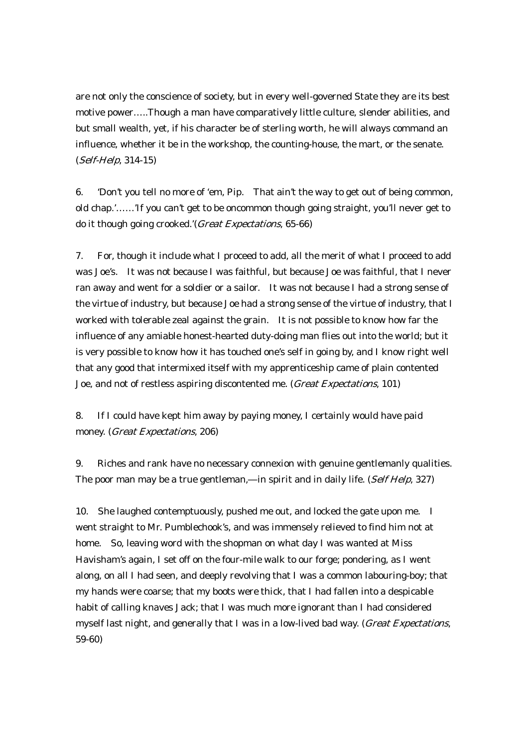are not only the conscience of society, but in every well-governed State they are its best motive power…..Though a man have comparatively little culture, slender abilities, and but small wealth, yet, if his character be of sterling worth, he will always command an influence, whether it be in the workshop, the counting-house, the mart, or the senate. (Self-Help, 314-15)

6. 'Don't you tell no more of 'em, Pip. That ain't the way to get out of being common, old chap.'……'If you can't get to be oncommon though going straight, you'll never get to do it though going crooked.'(Great Expectations, 65-66)

7. For, though it include what I proceed to add, all the merit of what I proceed to add was Joe's. It was not because I was faithful, but because Joe was faithful, that I never ran away and went for a soldier or a sailor. It was not because I had a strong sense of the virtue of industry, but because Joe had a strong sense of the virtue of industry, that I worked with tolerable zeal against the grain. It is not possible to know how far the influence of any amiable honest-hearted duty-doing man flies out into the world; but it is very possible to know how it has touched one's self in going by, and I know right well that any good that intermixed itself with my apprenticeship came of plain contented Joe, and not of restless aspiring discontented me. (Great Expectations, 101)

8. If I could have kept him away by paying money, I certainly would have paid money. (Great Expectations, 206)

9. Riches and rank have no necessary connexion with genuine gentlemanly qualities. The poor man may be a true gentleman, in spirit and in daily life. (Self Help, 327)

10. She laughed contemptuously, pushed me out, and locked the gate upon me. I went straight to Mr. Pumblechook's, and was immensely relieved to find him not at home. So, leaving word with the shopman on what day I was wanted at Miss Havisham's again, I set off on the four-mile walk to our forge; pondering, as I went along, on all I had seen, and deeply revolving that I was a common labouring-boy; that my hands were coarse; that my boots were thick, that I had fallen into a despicable habit of calling knaves Jack; that I was much more ignorant than I had considered myself last night, and generally that I was in a low-lived bad way. (Great Expectations, 59-60)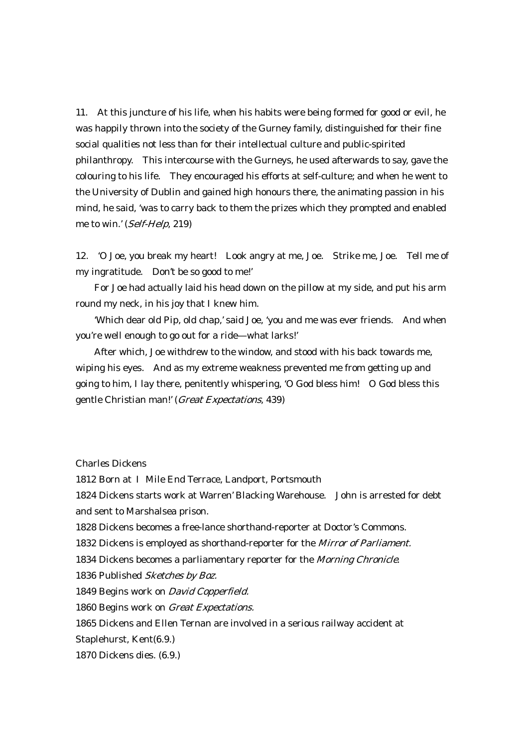11. At this juncture of his life, when his habits were being formed for good or evil, he was happily thrown into the society of the Gurney family, distinguished for their fine social qualities not less than for their intellectual culture and public-spirited philanthropy. This intercourse with the Gurneys, he used afterwards to say, gave the colouring to his life. They encouraged his efforts at self-culture; and when he went to the University of Dublin and gained high honours there, the animating passion in his mind, he said, 'was to carry back to them the prizes which they prompted and enabled me to win.' (Self-Help, 219)

12. 'O Joe, you break my heart! Look angry at me, Joe. Strike me, Joe. Tell me of my ingratitude. Don't be so good to me!'

 For Joe had actually laid his head down on the pillow at my side, and put his arm round my neck, in his joy that I knew him.

 'Which dear old Pip, old chap,' said Joe, 'you and me was ever friends. And when you're well enough to go out for a ride what larks!'

 After which, Joe withdrew to the window, and stood with his back towards me, wiping his eyes. And as my extreme weakness prevented me from getting up and going to him, I lay there, penitently whispering, 'O God bless him! O God bless this gentle Christian man!' (Great Expectations, 439)

Charles Dickens

1812 Born at Mile End Terrace, Landport, Portsmouth

1824 Dickens starts work at Warren' Blacking Warehouse. John is arrested for debt and sent to Marshalsea prison.

1828 Dickens becomes a free-lance shorthand-reporter at Doctor's Commons.

1832 Dickens is employed as shorthand-reporter for the Mirror of Parliament.

1834 Dickens becomes a parliamentary reporter for the *Morning Chronicle*.

1836 Published Sketches by Boz.

1849 Begins work on David Copperfield.

1860 Begins work on *Great Expectations*.

1865 Dickens and Ellen Ternan are involved in a serious railway accident at

Staplehurst, Kent(6.9.)

1870 Dickens dies. (6.9.)